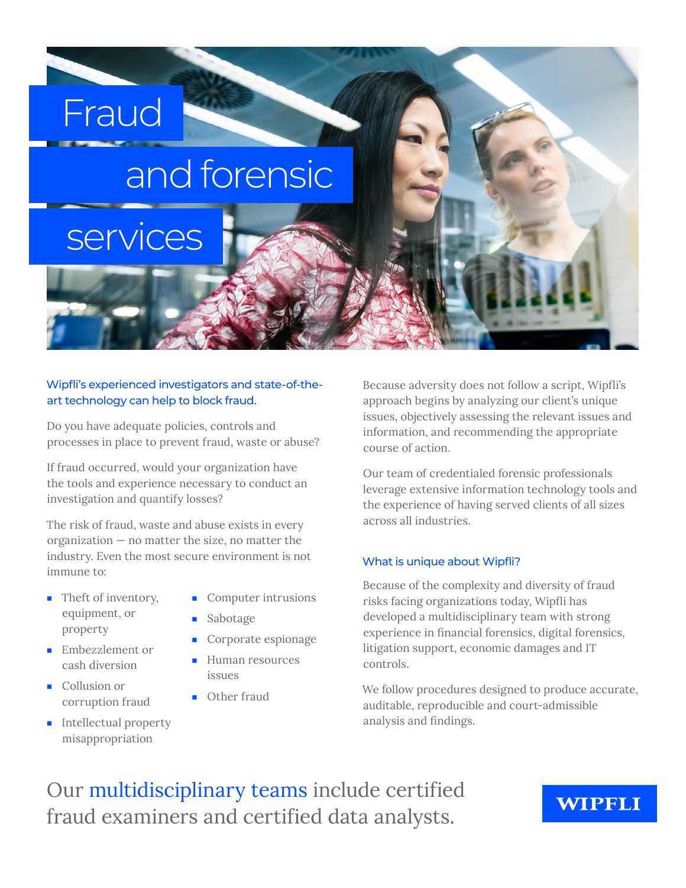# and forensic

# services

Fraud

#### Wipfli's experienced investigators and state-of-theart technology can help to block fraud.

Do you have adequate policies, controls and processes in place to prevent fraud, waste or abuse?

If fraud occurred, would your organization have the tools and experience necessary to conduct an investigation and quantify losses?

The risk of fraud, waste and abuse exists in every organization — no matter the size, no matter the industry. Even the most secure environment is not immune to:

■ Theft of inventory, equipment, or property

■ Embezzlement or cash diversion

corruption fraud ■ Intellectual property misappropriation

■ Collusion or

- Computer intrusions
- **Sabotage**
- Corporate espionage
- Human resources issues
- Other fraud

Because adversity does not follow a script, Wipfli's approach begins by analyzing our client's unique issues, objectively assessing the relevant issues and information, and recommending the appropriate course of action.

Our team of credentialed forensic professionals leverage extensive information technology tools and the experience of having served clients of all sizes across all industries.

#### What is unique about Wipfli?

Because of the complexity and diversity of fraud risks facing organizations today, Wipfli has developed a multidisciplinary team with strong experience in financial forensics, digital forensics, litigation support, economic damages and IT controls.

We follow procedures designed to produce accurate, auditable, reproducible and court-admissible analysis and findings.

Our multidisciplinary teams include certified fraud examiners and certified data analysts.

### **WIPFLI**